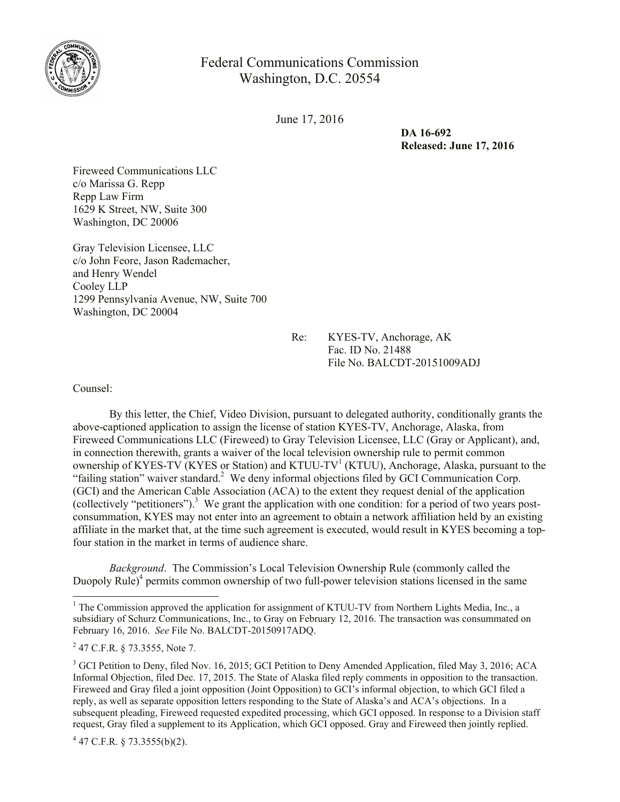

Federal Communications Commission Washington, D.C. 20554

June 17, 2016

**DA 16-692 Released: June 17, 2016**

Fireweed Communications LLC c/o Marissa G. Repp Repp Law Firm 1629 K Street, NW, Suite 300 Washington, DC 20006

Gray Television Licensee, LLC c/o John Feore, Jason Rademacher, and Henry Wendel Cooley LLP 1299 Pennsylvania Avenue, NW, Suite 700 Washington, DC 20004

> Re: KYES-TV, Anchorage, AK Fac. ID No. 21488 File No. BALCDT-20151009ADJ

Counsel:

 $\overline{a}$ 

By this letter, the Chief, Video Division, pursuant to delegated authority, conditionally grants the above-captioned application to assign the license of station KYES-TV, Anchorage, Alaska, from Fireweed Communications LLC (Fireweed) to Gray Television Licensee, LLC (Gray or Applicant), and, in connection therewith, grants a waiver of the local television ownership rule to permit common ownership of KYES-TV (KYES or Station) and KTUU-TV<sup>1</sup> (KTUU), Anchorage, Alaska, pursuant to the "failing station" waiver standard.<sup>2</sup> We deny informal objections filed by GCI Communication Corp. (GCI) and the American Cable Association (ACA) to the extent they request denial of the application (collectively "petitioners").<sup>3</sup> We grant the application with one condition: for a period of two years postconsummation, KYES may not enter into an agreement to obtain a network affiliation held by an existing affiliate in the market that, at the time such agreement is executed, would result in KYES becoming a topfour station in the market in terms of audience share.

*Background*. The Commission's Local Television Ownership Rule (commonly called the Duopoly Rule)<sup>4</sup> permits common ownership of two full-power television stations licensed in the same

 $4$  47 C.F.R. § 73.3555(b)(2).

<sup>&</sup>lt;sup>1</sup> The Commission approved the application for assignment of KTUU-TV from Northern Lights Media, Inc., a subsidiary of Schurz Communications, Inc., to Gray on February 12, 2016. The transaction was consummated on February 16, 2016. *See* File No. BALCDT-20150917ADQ.

 $2$  47 C.F.R. § 73.3555, Note 7.

<sup>&</sup>lt;sup>3</sup> GCI Petition to Deny, filed Nov. 16, 2015; GCI Petition to Deny Amended Application, filed May 3, 2016; ACA Informal Objection, filed Dec. 17, 2015. The State of Alaska filed reply comments in opposition to the transaction. Fireweed and Gray filed a joint opposition (Joint Opposition) to GCI's informal objection, to which GCI filed a reply, as well as separate opposition letters responding to the State of Alaska's and ACA's objections. In a subsequent pleading, Fireweed requested expedited processing, which GCI opposed. In response to a Division staff request, Gray filed a supplement to its Application, which GCI opposed. Gray and Fireweed then jointly replied.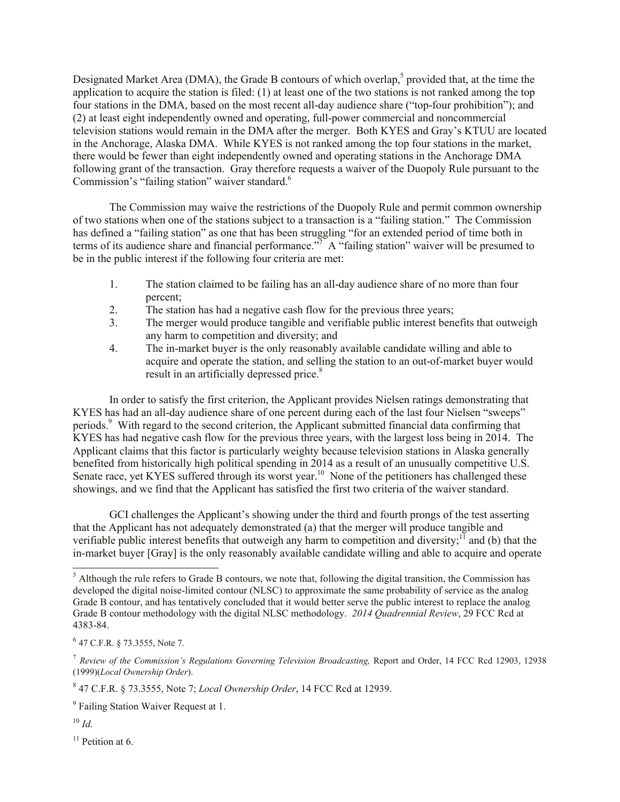Designated Market Area (DMA), the Grade B contours of which overlap,<sup>5</sup> provided that, at the time the application to acquire the station is filed: (1) at least one of the two stations is not ranked among the top four stations in the DMA, based on the most recent all-day audience share ("top-four prohibition"); and (2) at least eight independently owned and operating, full-power commercial and noncommercial television stations would remain in the DMA after the merger. Both KYES and Gray's KTUU are located in the Anchorage, Alaska DMA. While KYES is not ranked among the top four stations in the market, there would be fewer than eight independently owned and operating stations in the Anchorage DMA following grant of the transaction. Gray therefore requests a waiver of the Duopoly Rule pursuant to the Commission's "failing station" waiver standard.<sup>6</sup>

The Commission may waive the restrictions of the Duopoly Rule and permit common ownership of two stations when one of the stations subject to a transaction is a "failing station." The Commission has defined a "failing station" as one that has been struggling "for an extended period of time both in terms of its audience share and financial performance." $\overline{A}^T A$  "failing station" waiver will be presumed to be in the public interest if the following four criteria are met:

- 1. The station claimed to be failing has an all-day audience share of no more than four percent;
- 2. The station has had a negative cash flow for the previous three years;
- 3. The merger would produce tangible and verifiable public interest benefits that outweigh any harm to competition and diversity; and
- 4. The in-market buyer is the only reasonably available candidate willing and able to acquire and operate the station, and selling the station to an out-of-market buyer would result in an artificially depressed price.<sup>8</sup>

In order to satisfy the first criterion, the Applicant provides Nielsen ratings demonstrating that KYES has had an all-day audience share of one percent during each of the last four Nielsen "sweeps" periods.<sup>9</sup> With regard to the second criterion, the Applicant submitted financial data confirming that KYES has had negative cash flow for the previous three years, with the largest loss being in 2014. The Applicant claims that this factor is particularly weighty because television stations in Alaska generally benefited from historically high political spending in 2014 as a result of an unusually competitive U.S. Senate race, yet KYES suffered through its worst year.<sup>10</sup> None of the petitioners has challenged these showings, and we find that the Applicant has satisfied the first two criteria of the waiver standard.

GCI challenges the Applicant's showing under the third and fourth prongs of the test asserting that the Applicant has not adequately demonstrated (a) that the merger will produce tangible and verifiable public interest benefits that outweigh any harm to competition and diversity;<sup>11</sup> and (b) that the in-market buyer [Gray] is the only reasonably available candidate willing and able to acquire and operate

<sup>10</sup> *Id.*

l

 $11$  Petition at 6.

 $<sup>5</sup>$  Although the rule refers to Grade B contours, we note that, following the digital transition, the Commission has</sup> developed the digital noise-limited contour (NLSC) to approximate the same probability of service as the analog Grade B contour, and has tentatively concluded that it would better serve the public interest to replace the analog Grade B contour methodology with the digital NLSC methodology. *2014 Quadrennial Review*, 29 FCC Rcd at 4383-84.

 $6$  47 C.F.R. § 73.3555, Note 7.

<sup>&</sup>lt;sup>7</sup> Review of the Commission's Regulations Governing Television Broadcasting, Report and Order, 14 FCC Rcd 12903, 12938 (1999)(*Local Ownership Order*).

<sup>8</sup> 47 C.F.R. § 73.3555, Note 7; *Local Ownership Order*, 14 FCC Rcd at 12939.

<sup>&</sup>lt;sup>9</sup> Failing Station Waiver Request at 1.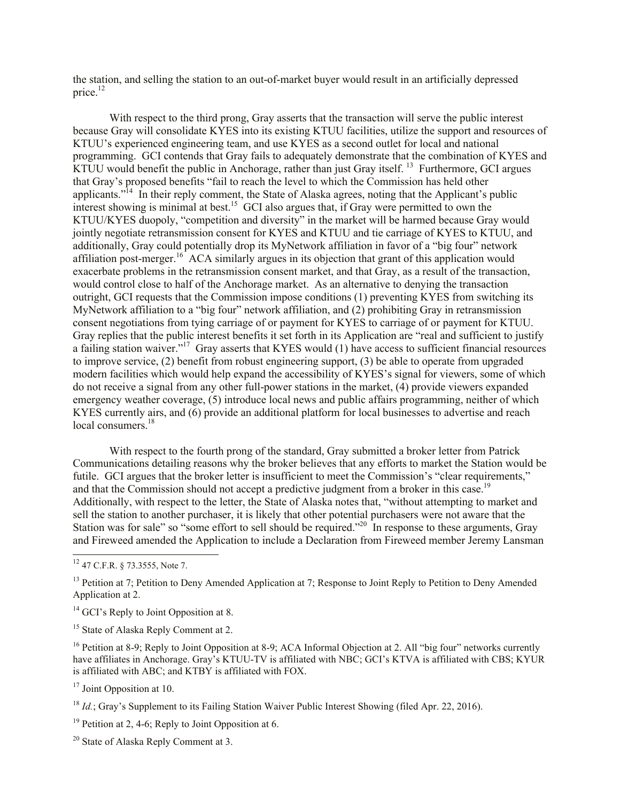the station, and selling the station to an out-of-market buyer would result in an artificially depressed price. $12$ 

With respect to the third prong, Gray asserts that the transaction will serve the public interest because Gray will consolidate KYES into its existing KTUU facilities, utilize the support and resources of KTUU's experienced engineering team, and use KYES as a second outlet for local and national programming. GCI contends that Gray fails to adequately demonstrate that the combination of KYES and  $KTUU$  would benefit the public in Anchorage, rather than just Gray itself.  $^{13}$  Furthermore, GCI argues that Gray's proposed benefits "fail to reach the level to which the Commission has held other applicants.<sup> $14$ </sup> In their reply comment, the State of Alaska agrees, noting that the Applicant's public interest showing is minimal at best.<sup>15</sup> GCI also argues that, if Gray were permitted to own the KTUU/KYES duopoly, "competition and diversity" in the market will be harmed because Gray would jointly negotiate retransmission consent for KYES and KTUU and tie carriage of KYES to KTUU, and additionally, Gray could potentially drop its MyNetwork affiliation in favor of a "big four" network affiliation post-merger.<sup>16</sup> ACA similarly argues in its objection that grant of this application would exacerbate problems in the retransmission consent market, and that Gray, as a result of the transaction, would control close to half of the Anchorage market. As an alternative to denying the transaction outright, GCI requests that the Commission impose conditions (1) preventing KYES from switching its MyNetwork affiliation to a "big four" network affiliation, and (2) prohibiting Gray in retransmission consent negotiations from tying carriage of or payment for KYES to carriage of or payment for KTUU. Gray replies that the public interest benefits it set forth in its Application are "real and sufficient to justify a failing station waiver."<sup>17</sup> Gray asserts that KYES would (1) have access to sufficient financial resources to improve service, (2) benefit from robust engineering support, (3) be able to operate from upgraded modern facilities which would help expand the accessibility of KYES's signal for viewers, some of which do not receive a signal from any other full-power stations in the market, (4) provide viewers expanded emergency weather coverage, (5) introduce local news and public affairs programming, neither of which KYES currently airs, and (6) provide an additional platform for local businesses to advertise and reach local consumers.<sup>18</sup>

With respect to the fourth prong of the standard, Gray submitted a broker letter from Patrick Communications detailing reasons why the broker believes that any efforts to market the Station would be futile. GCI argues that the broker letter is insufficient to meet the Commission's "clear requirements," and that the Commission should not accept a predictive judgment from a broker in this case.<sup>19</sup> Additionally, with respect to the letter, the State of Alaska notes that, "without attempting to market and sell the station to another purchaser, it is likely that other potential purchasers were not aware that the Station was for sale" so "some effort to sell should be required."<sup>20</sup> In response to these arguments, Gray and Fireweed amended the Application to include a Declaration from Fireweed member Jeremy Lansman

 $\overline{a}$ 

<sup>17</sup> Joint Opposition at 10.

 $12$  47 C.F.R. § 73.3555, Note 7.

<sup>&</sup>lt;sup>13</sup> Petition at 7; Petition to Deny Amended Application at 7; Response to Joint Reply to Petition to Deny Amended Application at 2.

 $14$  GCI's Reply to Joint Opposition at 8.

<sup>&</sup>lt;sup>15</sup> State of Alaska Reply Comment at 2.

<sup>&</sup>lt;sup>16</sup> Petition at 8-9; Reply to Joint Opposition at 8-9; ACA Informal Objection at 2. All "big four" networks currently have affiliates in Anchorage. Gray's KTUU-TV is affiliated with NBC; GCI's KTVA is affiliated with CBS; KYUR is affiliated with ABC; and KTBY is affiliated with FOX.

<sup>&</sup>lt;sup>18</sup> *Id.*; Gray's Supplement to its Failing Station Waiver Public Interest Showing (filed Apr. 22, 2016).

<sup>&</sup>lt;sup>19</sup> Petition at 2, 4-6; Reply to Joint Opposition at 6.

<sup>20</sup> State of Alaska Reply Comment at 3.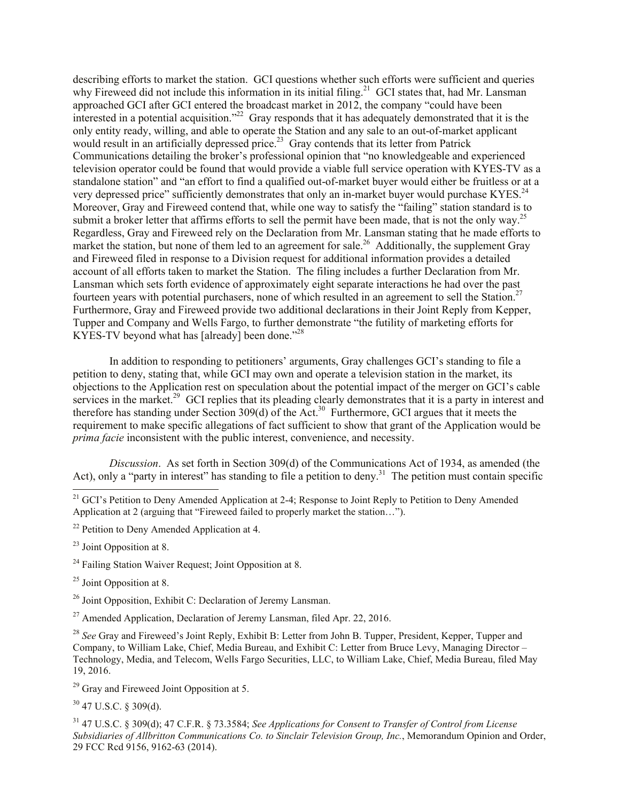describing efforts to market the station. GCI questions whether such efforts were sufficient and queries why Fireweed did not include this information in its initial filing.<sup>21</sup> GCI states that, had Mr. Lansman approached GCI after GCI entered the broadcast market in 2012, the company "could have been interested in a potential acquisition."<sup>22</sup> Gray responds that it has adequately demonstrated that it is the only entity ready, willing, and able to operate the Station and any sale to an out-of-market applicant would result in an artificially depressed price.<sup>23</sup> Gray contends that its letter from Patrick Communications detailing the broker's professional opinion that "no knowledgeable and experienced television operator could be found that would provide a viable full service operation with KYES-TV as a standalone station" and "an effort to find a qualified out-of-market buyer would either be fruitless or at a very depressed price" sufficiently demonstrates that only an in-market buyer would purchase KYES.<sup>24</sup> Moreover, Gray and Fireweed contend that, while one way to satisfy the "failing" station standard is to submit a broker letter that affirms efforts to sell the permit have been made, that is not the only way.<sup>25</sup> Regardless, Gray and Fireweed rely on the Declaration from Mr. Lansman stating that he made efforts to market the station, but none of them led to an agreement for sale.<sup>26</sup> Additionally, the supplement Gray and Fireweed filed in response to a Division request for additional information provides a detailed account of all efforts taken to market the Station. The filing includes a further Declaration from Mr. Lansman which sets forth evidence of approximately eight separate interactions he had over the past fourteen years with potential purchasers, none of which resulted in an agreement to sell the Station.<sup>27</sup> Furthermore, Gray and Fireweed provide two additional declarations in their Joint Reply from Kepper, Tupper and Company and Wells Fargo, to further demonstrate "the futility of marketing efforts for KYES-TV beyond what has [already] been done."<sup>28</sup>

In addition to responding to petitioners' arguments, Gray challenges GCI's standing to file a petition to deny, stating that, while GCI may own and operate a television station in the market, its objections to the Application rest on speculation about the potential impact of the merger on GCI's cable services in the market.<sup>29</sup> GCI replies that its pleading clearly demonstrates that it is a party in interest and therefore has standing under Section  $309(d)$  of the Act.<sup>30</sup> Furthermore, GCI argues that it meets the requirement to make specific allegations of fact sufficient to show that grant of the Application would be *prima facie* inconsistent with the public interest, convenience, and necessity.

*Discussion*. As set forth in Section 309(d) of the Communications Act of 1934, as amended (the Act), only a "party in interest" has standing to file a petition to deny.<sup>31</sup> The petition must contain specific

- $22$  Petition to Deny Amended Application at 4.
- <sup>23</sup> Joint Opposition at 8.

 $\overline{a}$ 

- $24$  Failing Station Waiver Request: Joint Opposition at 8.
- $25$  Joint Opposition at 8.
- <sup>26</sup> Joint Opposition, Exhibit C: Declaration of Jeremy Lansman.
- $^{27}$  Amended Application, Declaration of Jeremy Lansman, filed Apr. 22, 2016.

<sup>28</sup> *See* Gray and Fireweed's Joint Reply, Exhibit B: Letter from John B. Tupper, President, Kepper, Tupper and Company, to William Lake, Chief, Media Bureau, and Exhibit C: Letter from Bruce Levy, Managing Director – Technology, Media, and Telecom, Wells Fargo Securities, LLC, to William Lake, Chief, Media Bureau, filed May 19, 2016.

 $29$  Gray and Fireweed Joint Opposition at 5.

<sup>30</sup> 47 U.S.C. § 309(d).

<sup>31</sup> 47 U.S.C. § 309(d); 47 C.F.R. § 73.3584; *See Applications for Consent to Transfer of Control from License Subsidiaries of Allbritton Communications Co. to Sinclair Television Group, Inc.*, Memorandum Opinion and Order, 29 FCC Rcd 9156, 9162-63 (2014).

<sup>&</sup>lt;sup>21</sup> GCI's Petition to Deny Amended Application at 2-4; Response to Joint Reply to Petition to Deny Amended Application at 2 (arguing that "Fireweed failed to properly market the station…").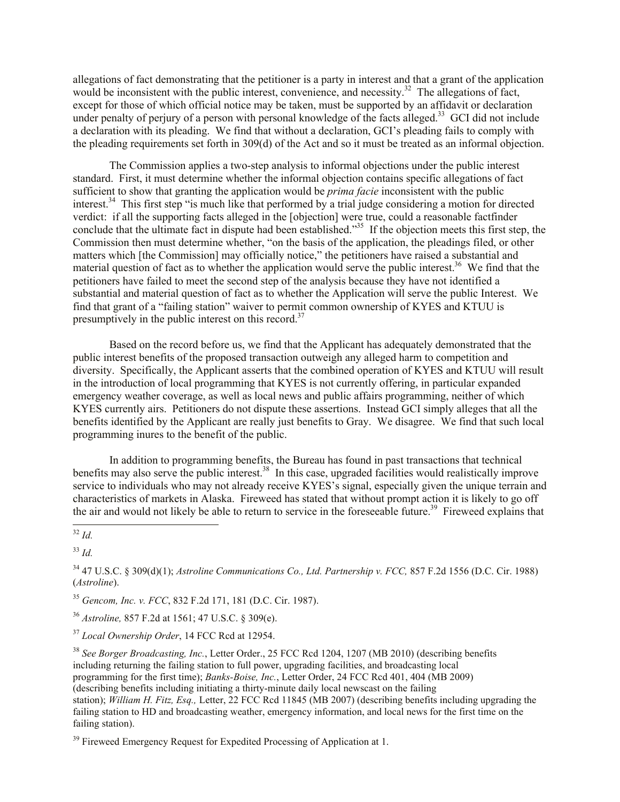allegations of fact demonstrating that the petitioner is a party in interest and that a grant of the application would be inconsistent with the public interest, convenience, and necessity.<sup>32</sup> The allegations of fact, except for those of which official notice may be taken, must be supported by an affidavit or declaration under penalty of perjury of a person with personal knowledge of the facts alleged.<sup>33</sup> GCI did not include a declaration with its pleading. We find that without a declaration, GCI's pleading fails to comply with the pleading requirements set forth in 309(d) of the Act and so it must be treated as an informal objection.

The Commission applies a two-step analysis to informal objections under the public interest standard. First, it must determine whether the informal objection contains specific allegations of fact sufficient to show that granting the application would be *prima facie* inconsistent with the public interest.<sup>34</sup> This first step "is much like that performed by a trial judge considering a motion for directed verdict: if all the supporting facts alleged in the [objection] were true, could a reasonable factfinder conclude that the ultimate fact in dispute had been established.<sup>35</sup> If the objection meets this first step, the Commission then must determine whether, "on the basis of the application, the pleadings filed, or other matters which [the Commission] may officially notice," the petitioners have raised a substantial and material question of fact as to whether the application would serve the public interest.<sup>36</sup> We find that the petitioners have failed to meet the second step of the analysis because they have not identified a substantial and material question of fact as to whether the Application will serve the public Interest. We find that grant of a "failing station" waiver to permit common ownership of KYES and KTUU is presumptively in the public interest on this record.<sup>37</sup>

Based on the record before us, we find that the Applicant has adequately demonstrated that the public interest benefits of the proposed transaction outweigh any alleged harm to competition and diversity. Specifically, the Applicant asserts that the combined operation of KYES and KTUU will result in the introduction of local programming that KYES is not currently offering, in particular expanded emergency weather coverage, as well as local news and public affairs programming, neither of which KYES currently airs. Petitioners do not dispute these assertions. Instead GCI simply alleges that all the benefits identified by the Applicant are really just benefits to Gray. We disagree. We find that such local programming inures to the benefit of the public.

In addition to programming benefits, the Bureau has found in past transactions that technical benefits may also serve the public interest.<sup>38</sup> In this case, upgraded facilities would realistically improve service to individuals who may not already receive KYES's signal, especially given the unique terrain and characteristics of markets in Alaska. Fireweed has stated that without prompt action it is likely to go off the air and would not likely be able to return to service in the foreseeable future.<sup>39</sup> Fireweed explains that

<sup>33</sup> *Id.*

<sup>35</sup> *Gencom, Inc. v. FCC*, 832 F.2d 171, 181 (D.C. Cir. 1987).

<sup>36</sup> *Astroline,* 857 F.2d at 1561; 47 U.S.C. § 309(e).

<sup>37</sup> *Local Ownership Order*, 14 FCC Rcd at 12954.

<sup>38</sup> *See Borger Broadcasting, Inc.*, Letter Order., 25 FCC Rcd 1204, 1207 (MB 2010) (describing benefits including returning the failing station to full power, upgrading facilities, and broadcasting local programming for the first time); *Banks-Boise, Inc.*, Letter Order, 24 FCC Rcd 401, 404 (MB 2009) (describing benefits including initiating a thirty-minute daily local newscast on the failing station); *William H. Fitz, Esq.,* Letter, 22 FCC Rcd 11845 (MB 2007) (describing benefits including upgrading the failing station to HD and broadcasting weather, emergency information, and local news for the first time on the failing station).

 $39$  Fireweed Emergency Request for Expedited Processing of Application at 1.

 $\overline{a}$ <sup>32</sup> *Id.*

<sup>34</sup> 47 U.S.C. § 309(d)(1); *Astroline Communications Co., Ltd. Partnership v. FCC,* 857 F.2d 1556 (D.C. Cir. 1988) (*Astroline*).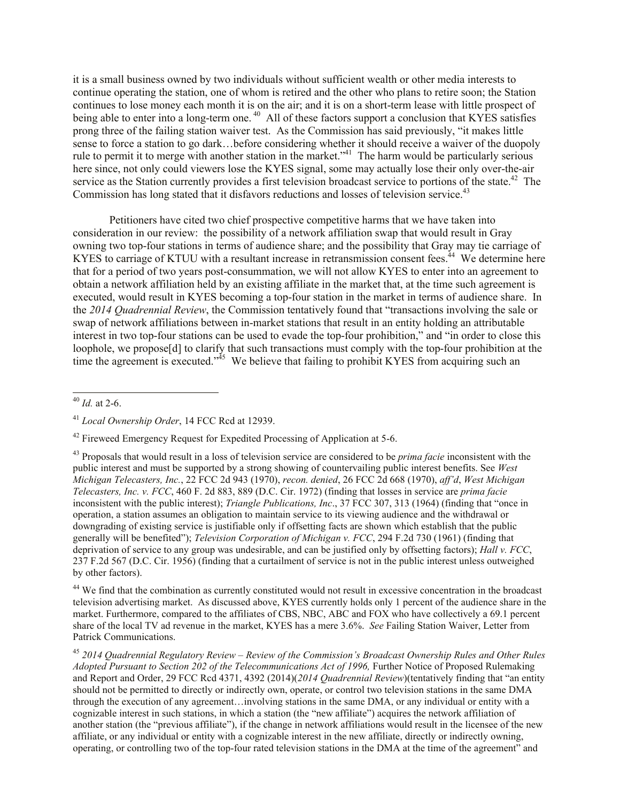it is a small business owned by two individuals without sufficient wealth or other media interests to continue operating the station, one of whom is retired and the other who plans to retire soon; the Station continues to lose money each month it is on the air; and it is on a short-term lease with little prospect of being able to enter into a long-term one.<sup>40</sup> All of these factors support a conclusion that KYES satisfies prong three of the failing station waiver test. As the Commission has said previously, "it makes little sense to force a station to go dark…before considering whether it should receive a waiver of the duopoly rule to permit it to merge with another station in the market.<sup> $341$ </sup> The harm would be particularly serious here since, not only could viewers lose the KYES signal, some may actually lose their only over-the-air service as the Station currently provides a first television broadcast service to portions of the state.<sup>42</sup> The Commission has long stated that it disfavors reductions and losses of television service.<sup>43</sup>

Petitioners have cited two chief prospective competitive harms that we have taken into consideration in our review: the possibility of a network affiliation swap that would result in Gray owning two top-four stations in terms of audience share; and the possibility that Gray may tie carriage of KYES to carriage of KTUU with a resultant increase in retransmission consent fees.<sup> $44$ </sup> We determine here that for a period of two years post-consummation, we will not allow KYES to enter into an agreement to obtain a network affiliation held by an existing affiliate in the market that, at the time such agreement is executed, would result in KYES becoming a top-four station in the market in terms of audience share. In the *2014 Quadrennial Review*, the Commission tentatively found that "transactions involving the sale or swap of network affiliations between in-market stations that result in an entity holding an attributable interest in two top-four stations can be used to evade the top-four prohibition," and "in order to close this loophole, we propose[d] to clarify that such transactions must comply with the top-four prohibition at the time the agreement is executed.<sup> $3\frac{3}{5}$ </sup> We believe that failing to prohibit KYES from acquiring such an

 $\overline{a}$ 

<sup>44</sup> We find that the combination as currently constituted would not result in excessive concentration in the broadcast television advertising market. As discussed above, KYES currently holds only 1 percent of the audience share in the market. Furthermore, compared to the affiliates of CBS, NBC, ABC and FOX who have collectively a 69.1 percent share of the local TV ad revenue in the market, KYES has a mere 3.6%. *See* Failing Station Waiver, Letter from Patrick Communications.

<sup>45</sup> *2014 Quadrennial Regulatory Review – Review of the Commission's Broadcast Ownership Rules and Other Rules Adopted Pursuant to Section 202 of the Telecommunications Act of 1996,* Further Notice of Proposed Rulemaking and Report and Order, 29 FCC Rcd 4371, 4392 (2014)(*2014 Quadrennial Review*)(tentatively finding that "an entity should not be permitted to directly or indirectly own, operate, or control two television stations in the same DMA through the execution of any agreement…involving stations in the same DMA, or any individual or entity with a cognizable interest in such stations, in which a station (the "new affiliate") acquires the network affiliation of another station (the "previous affiliate"), if the change in network affiliations would result in the licensee of the new affiliate, or any individual or entity with a cognizable interest in the new affiliate, directly or indirectly owning, operating, or controlling two of the top-four rated television stations in the DMA at the time of the agreement" and

<sup>40</sup> *Id.* at 2-6.

<sup>41</sup> *Local Ownership Order*, 14 FCC Rcd at 12939.

 $42$  Fireweed Emergency Request for Expedited Processing of Application at 5-6.

<sup>43</sup> Proposals that would result in a loss of television service are considered to be *prima facie* inconsistent with the public interest and must be supported by a strong showing of countervailing public interest benefits. See *West Michigan Telecasters, Inc.*, 22 FCC 2d 943 (1970), *recon. denied*, 26 FCC 2d 668 (1970), *aff'd*, *West Michigan Telecasters, Inc. v. FCC*, 460 F. 2d 883, 889 (D.C. Cir. 1972) (finding that losses in service are *prima facie* inconsistent with the public interest); *Triangle Publications, Inc*., 37 FCC 307, 313 (1964) (finding that "once in operation, a station assumes an obligation to maintain service to its viewing audience and the withdrawal or downgrading of existing service is justifiable only if offsetting facts are shown which establish that the public generally will be benefited"); *Television Corporation of Michigan v. FCC*, 294 F.2d 730 (1961) (finding that deprivation of service to any group was undesirable, and can be justified only by offsetting factors); *Hall v. FCC*, 237 F.2d 567 (D.C. Cir. 1956) (finding that a curtailment of service is not in the public interest unless outweighed by other factors).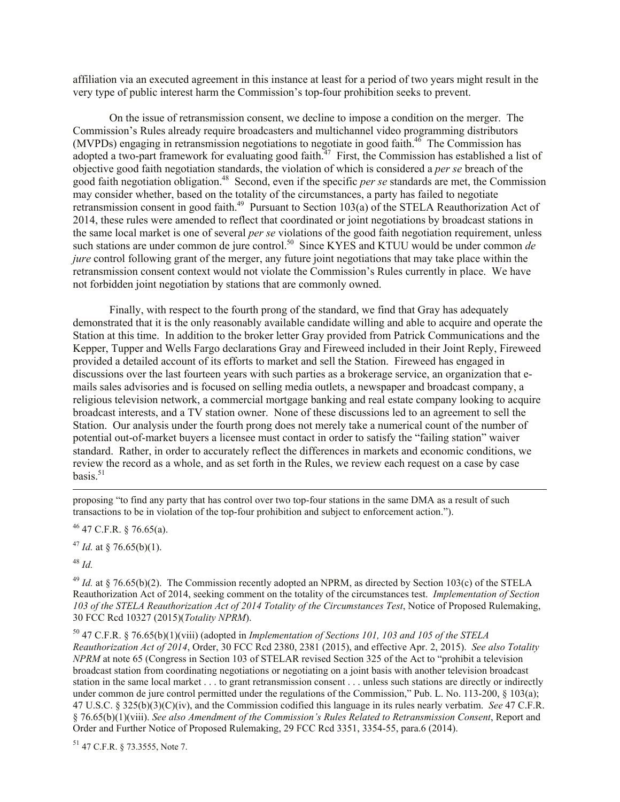affiliation via an executed agreement in this instance at least for a period of two years might result in the very type of public interest harm the Commission's top-four prohibition seeks to prevent.

On the issue of retransmission consent, we decline to impose a condition on the merger. The Commission's Rules already require broadcasters and multichannel video programming distributors  $(MVPDs)$  engaging in retransmission negotiations to negotiate in good faith.<sup>46</sup> The Commission has adopted a two-part framework for evaluating good faith. $47$  First, the Commission has established a list of objective good faith negotiation standards, the violation of which is considered a *per se* breach of the good faith negotiation obligation.<sup>48</sup> Second, even if the specific *per se* standards are met, the Commission may consider whether, based on the totality of the circumstances, a party has failed to negotiate retransmission consent in good faith.<sup>49</sup> Pursuant to Section 103(a) of the STELA Reauthorization Act of 2014, these rules were amended to reflect that coordinated or joint negotiations by broadcast stations in the same local market is one of several *per se* violations of the good faith negotiation requirement, unless such stations are under common de jure control.<sup>50</sup> Since KYES and KTUU would be under common *de jure* control following grant of the merger, any future joint negotiations that may take place within the retransmission consent context would not violate the Commission's Rules currently in place. We have not forbidden joint negotiation by stations that are commonly owned.

Finally, with respect to the fourth prong of the standard, we find that Gray has adequately demonstrated that it is the only reasonably available candidate willing and able to acquire and operate the Station at this time. In addition to the broker letter Gray provided from Patrick Communications and the Kepper, Tupper and Wells Fargo declarations Gray and Fireweed included in their Joint Reply, Fireweed provided a detailed account of its efforts to market and sell the Station. Fireweed has engaged in discussions over the last fourteen years with such parties as a brokerage service, an organization that emails sales advisories and is focused on selling media outlets, a newspaper and broadcast company, a religious television network, a commercial mortgage banking and real estate company looking to acquire broadcast interests, and a TV station owner. None of these discussions led to an agreement to sell the Station. Our analysis under the fourth prong does not merely take a numerical count of the number of potential out-of-market buyers a licensee must contact in order to satisfy the "failing station" waiver standard. Rather, in order to accurately reflect the differences in markets and economic conditions, we review the record as a whole, and as set forth in the Rules, we review each request on a case by case basis. $51$ 

proposing "to find any party that has control over two top-four stations in the same DMA as a result of such transactions to be in violation of the top-four prohibition and subject to enforcement action.").

 $46$  47 C.F.R. § 76.65(a).

<sup>47</sup> *Id.* at § 76.65(b)(1).

<sup>48</sup> *Id.*

 $\overline{a}$ 

<sup>49</sup> *Id.* at § 76.65(b)(2). The Commission recently adopted an NPRM, as directed by Section 103(c) of the STELA Reauthorization Act of 2014, seeking comment on the totality of the circumstances test. *Implementation of Section 103 of the STELA Reauthorization Act of 2014 Totality of the Circumstances Test*, Notice of Proposed Rulemaking, 30 FCC Rcd 10327 (2015)(*Totality NPRM*).

<sup>50</sup> 47 C.F.R. § 76.65(b)(1)(viii) (adopted in *Implementation of Sections 101, 103 and 105 of the STELA Reauthorization Act of 2014*, Order, 30 FCC Rcd 2380, 2381 (2015), and effective Apr. 2, 2015). *See also Totality NPRM* at note 65 (Congress in Section 103 of STELAR revised Section 325 of the Act to "prohibit a television broadcast station from coordinating negotiations or negotiating on a joint basis with another television broadcast station in the same local market . . . to grant retransmission consent . . . unless such stations are directly or indirectly under common de jure control permitted under the regulations of the Commission," Pub. L. No. 113-200, § 103(a); 47 U.S.C. § 325(b)(3)(C)(iv), and the Commission codified this language in its rules nearly verbatim. *See* 47 C.F.R. § 76.65(b)(1)(viii). *See also Amendment of the Commission's Rules Related to Retransmission Consent*, Report and Order and Further Notice of Proposed Rulemaking, 29 FCC Rcd 3351, 3354-55, para.6 (2014).

<sup>51</sup> 47 C.F.R. § 73.3555, Note 7.